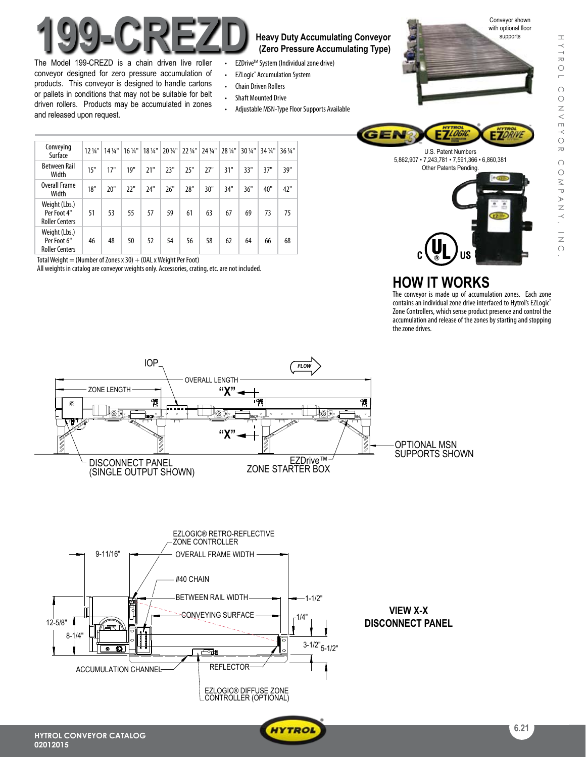

The Model 199-CREZD is a chain driven live roller conveyor designed for zero pressure accumulation of products. This conveyor is designed to handle cartons or pallets in conditions that may not be suitable for belt driven rollers. Products may be accumulated in zones and released upon request.

**(Zero Pressure Accumulating Type)**

- EZDrive<sup>™</sup> System (Individual zone drive)
- • EZLogic® Accumulation System
- **Chain Driven Rollers**
- • Shaft Mounted Drive
- Adjustable MSN-Type Floor Supports Available







| Conveying<br>Surface                                  | $12\frac{1}{4}$ " | $14\frac{1}{4}$ | $16\frac{1}{4}$ " | $18\frac{1}{4}$ " |     | 20 1/4" 22 1/4" | $24\frac{1}{4}$ | 28 1/4" | $30\frac{1}{4}$ " | 34 1/4" | 36 1/4" |
|-------------------------------------------------------|-------------------|-----------------|-------------------|-------------------|-----|-----------------|-----------------|---------|-------------------|---------|---------|
| <b>Between Rail</b><br>Width                          | 15"               | 17"             | 19"               | 21"               | 23" | 25"             | 27"             | 31"     | 33"               | 37"     | 39"     |
| <b>Overall Frame</b><br>Width                         | 18"               | 20"             | 22"               | 24"               | 26" | 28"             | 30"             | 34"     | 36"               | 40"     | 42"     |
| Weight (Lbs.)<br>Per Foot 4"<br><b>Roller Centers</b> | 51                | 53              | 55                | 57                | 59  | 61              | 63              | 67      | 69                | 73      | 75      |
| Weight (Lbs.)<br>Per Foot 6"<br><b>Roller Centers</b> | 46                | 48              | 50                | 52                | 54  | 56              | 58              | 62      | 64                | 66      | 68      |

Total Weight = (Number of Zones x 30) + (OAL x Weight Per Foot)

All weights in catalog are conveyor weights only. Accessories, crating, etc. are not included.



The conveyor is made up of accumulation zones. Each zone contains an individual zone drive interfaced to Hytrol's EZLogic® Zone Controllers, which sense product presence and control the accumulation and release of the zones by starting and stopping the zone drives.



8-1/4"

12-5/8"

ACCUMULATION CHANNEL



 $.1/4$ 

 $\frac{1}{3-1/2}$ "<sub>5-1/2</sub>"

EZLOGIC® DIFFUSE ZONE CONTROLLER (OPTIONAL)

SONVEYING SURFACE

ولوك

REFLECTOR